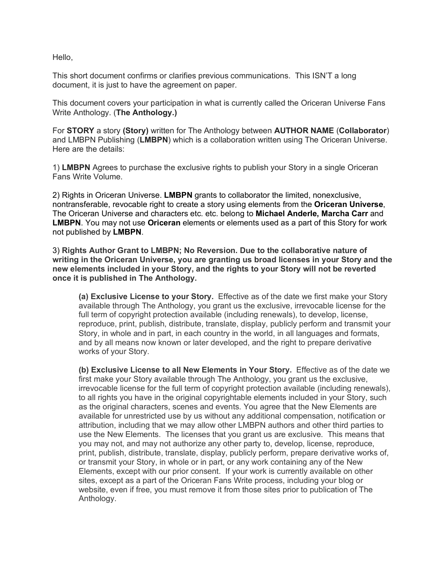Hello,

This short document confirms or clarifies previous communications. This ISN'T a long document, it is just to have the agreement on paper.

This document covers your participation in what is currently called the Oriceran Universe Fans Write Anthology. (**The Anthology.)** 

For **STORY** a story **(Story)** written for The Anthology between **AUTHOR NAME** (**Collaborator**) and LMBPN Publishing (**LMBPN**) which is a collaboration written using The Oriceran Universe. Here are the details:

1) **LMBPN** Agrees to purchase the exclusive rights to publish your Story in a single Oriceran Fans Write Volume.

2) Rights in Oriceran Universe. **LMBPN** grants to collaborator the limited, nonexclusive, nontransferable, revocable right to create a story using elements from the **Oriceran Universe**, The Oriceran Universe and characters etc. etc. belong to **Michael Anderle, Marcha Carr** and **LMBPN**. You may not use **Oriceran** elements or elements used as a part of this Story for work not published by **LMBPN**.

3) **Rights Author Grant to LMBPN; No Reversion. Due to the collaborative nature of writing in the Oriceran Universe, you are granting us broad licenses in your Story and the new elements included in your Story, and the rights to your Story will not be reverted once it is published in The Anthology.**

**(a) Exclusive License to your Story.** Effective as of the date we first make your Story available through The Anthology, you grant us the exclusive, irrevocable license for the full term of copyright protection available (including renewals), to develop, license, reproduce, print, publish, distribute, translate, display, publicly perform and transmit your Story, in whole and in part, in each country in the world, in all languages and formats, and by all means now known or later developed, and the right to prepare derivative works of your Story.

**(b) Exclusive License to all New Elements in Your Story.** Effective as of the date we first make your Story available through The Anthology, you grant us the exclusive, irrevocable license for the full term of copyright protection available (including renewals), to all rights you have in the original copyrightable elements included in your Story, such as the original characters, scenes and events. You agree that the New Elements are available for unrestricted use by us without any additional compensation, notification or attribution, including that we may allow other LMBPN authors and other third parties to use the New Elements. The licenses that you grant us are exclusive. This means that you may not, and may not authorize any other party to, develop, license, reproduce, print, publish, distribute, translate, display, publicly perform, prepare derivative works of, or transmit your Story, in whole or in part, or any work containing any of the New Elements, except with our prior consent. If your work is currently available on other sites, except as a part of the Oriceran Fans Write process, including your blog or website, even if free, you must remove it from those sites prior to publication of The Anthology.